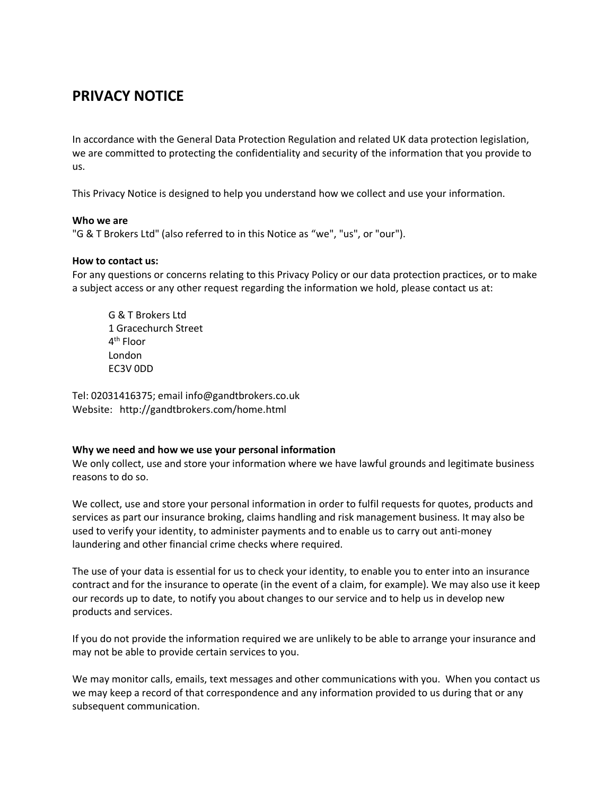# **PRIVACY NOTICE**

In accordance with the General Data Protection Regulation and related UK data protection legislation, we are committed to protecting the confidentiality and security of the information that you provide to us.

This Privacy Notice is designed to help you understand how we collect and use your information.

#### **Who we are**

"G & T Brokers Ltd" (also referred to in this Notice as "we", "us", or "our").

## **How to contact us:**

For any questions or concerns relating to this Privacy Policy or our data protection practices, or to make a subject access or any other request regarding the information we hold, please contact us at:

G & T Brokers Ltd 1 Gracechurch Street 4th Floor London EC3V 0DD

Tel: 02031416375; email info@gandtbrokers.co.uk Website: http://gandtbrokers.com/home.html

# **Why we need and how we use your personal information**

We only collect, use and store your information where we have lawful grounds and legitimate business reasons to do so.

We collect, use and store your personal information in order to fulfil requests for quotes, products and services as part our insurance broking, claims handling and risk management business. It may also be used to verify your identity, to administer payments and to enable us to carry out anti-money laundering and other financial crime checks where required.

The use of your data is essential for us to check your identity, to enable you to enter into an insurance contract and for the insurance to operate (in the event of a claim, for example). We may also use it keep our records up to date, to notify you about changes to our service and to help us in develop new products and services.

If you do not provide the information required we are unlikely to be able to arrange your insurance and may not be able to provide certain services to you.

We may monitor calls, emails, text messages and other communications with you. When you contact us we may keep a record of that correspondence and any information provided to us during that or any subsequent communication.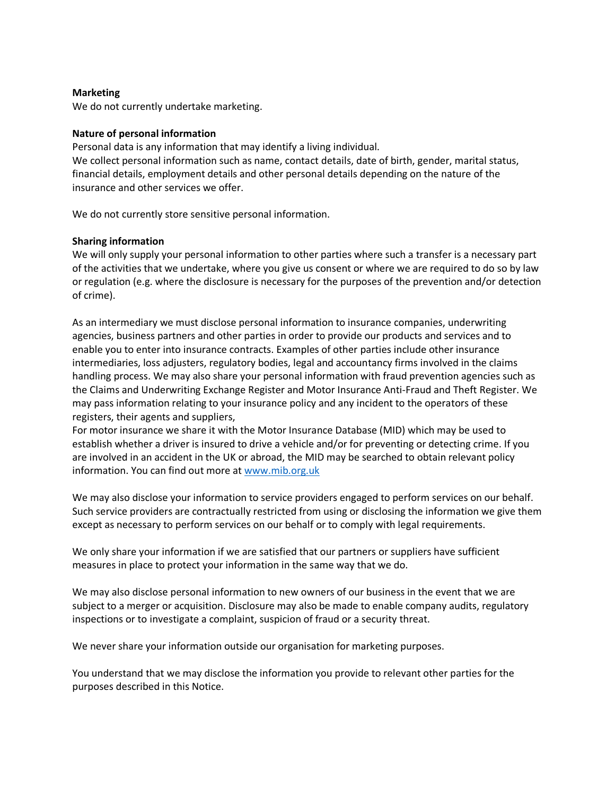## **Marketing**

We do not currently undertake marketing.

#### **Nature of personal information**

Personal data is any information that may identify a living individual. We collect personal information such as name, contact details, date of birth, gender, marital status, financial details, employment details and other personal details depending on the nature of the insurance and other services we offer.

We do not currently store sensitive personal information.

## **Sharing information**

We will only supply your personal information to other parties where such a transfer is a necessary part of the activities that we undertake, where you give us consent or where we are required to do so by law or regulation (e.g. where the disclosure is necessary for the purposes of the prevention and/or detection of crime).

As an intermediary we must disclose personal information to insurance companies, underwriting agencies, business partners and other parties in order to provide our products and services and to enable you to enter into insurance contracts. Examples of other parties include other insurance intermediaries, loss adjusters, regulatory bodies, legal and accountancy firms involved in the claims handling process. We may also share your personal information with fraud prevention agencies such as the Claims and Underwriting Exchange Register and Motor Insurance Anti-Fraud and Theft Register. We may pass information relating to your insurance policy and any incident to the operators of these registers, their agents and suppliers,

For motor insurance we share it with the Motor Insurance Database (MID) which may be used to establish whether a driver is insured to drive a vehicle and/or for preventing or detecting crime. If you are involved in an accident in the UK or abroad, the MID may be searched to obtain relevant policy information. You can find out more at www.mib.org.uk

We may also disclose your information to service providers engaged to perform services on our behalf. Such service providers are contractually restricted from using or disclosing the information we give them except as necessary to perform services on our behalf or to comply with legal requirements.

We only share your information if we are satisfied that our partners or suppliers have sufficient measures in place to protect your information in the same way that we do.

We may also disclose personal information to new owners of our business in the event that we are subject to a merger or acquisition. Disclosure may also be made to enable company audits, regulatory inspections or to investigate a complaint, suspicion of fraud or a security threat.

We never share your information outside our organisation for marketing purposes.

You understand that we may disclose the information you provide to relevant other parties for the purposes described in this Notice.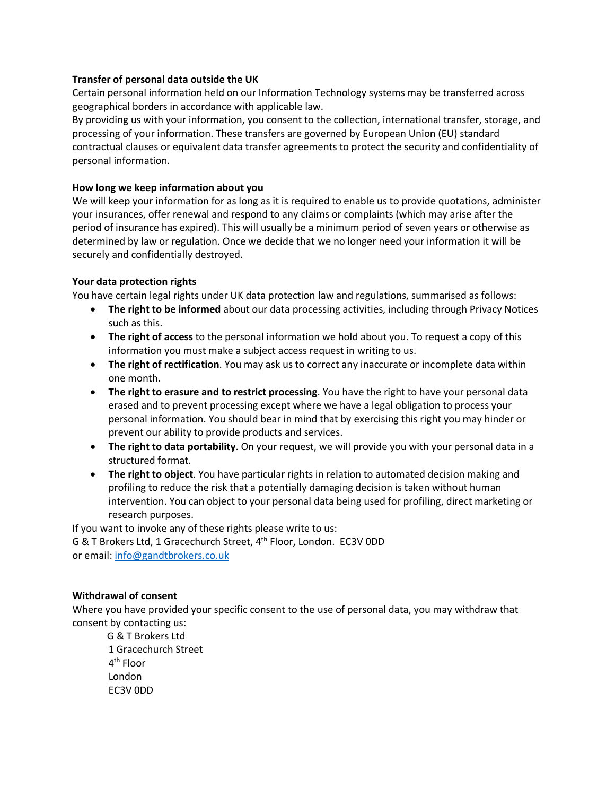## **Transfer of personal data outside the UK**

Certain personal information held on our Information Technology systems may be transferred across geographical borders in accordance with applicable law.

By providing us with your information, you consent to the collection, international transfer, storage, and processing of your information. These transfers are governed by European Union (EU) standard contractual clauses or equivalent data transfer agreements to protect the security and confidentiality of personal information.

## **How long we keep information about you**

We will keep your information for as long as it is required to enable us to provide quotations, administer your insurances, offer renewal and respond to any claims or complaints (which may arise after the period of insurance has expired). This will usually be a minimum period of seven years or otherwise as determined by law or regulation. Once we decide that we no longer need your information it will be securely and confidentially destroyed.

# **Your data protection rights**

You have certain legal rights under UK data protection law and regulations, summarised as follows:

- **The right to be informed** about our data processing activities, including through Privacy Notices such as this.
- **The right of access** to the personal information we hold about you. To request a copy of this information you must make a subject access request in writing to us.
- **The right of rectification**. You may ask us to correct any inaccurate or incomplete data within one month.
- **The right to erasure and to restrict processing**. You have the right to have your personal data erased and to prevent processing except where we have a legal obligation to process your personal information. You should bear in mind that by exercising this right you may hinder or prevent our ability to provide products and services.
- **The right to data portability**. On your request, we will provide you with your personal data in a structured format.
- **The right to object**. You have particular rights in relation to automated decision making and profiling to reduce the risk that a potentially damaging decision is taken without human intervention. You can object to your personal data being used for profiling, direct marketing or research purposes.

If you want to invoke any of these rights please write to us:

G & T Brokers Ltd, 1 Gracechurch Street, 4<sup>th</sup> Floor, London. EC3V ODD or email: info@gandtbrokers.co.uk

#### **Withdrawal of consent**

Where you have provided your specific consent to the use of personal data, you may withdraw that consent by contacting us:

 G & T Brokers Ltd 1 Gracechurch Street 4th Floor London EC3V 0DD